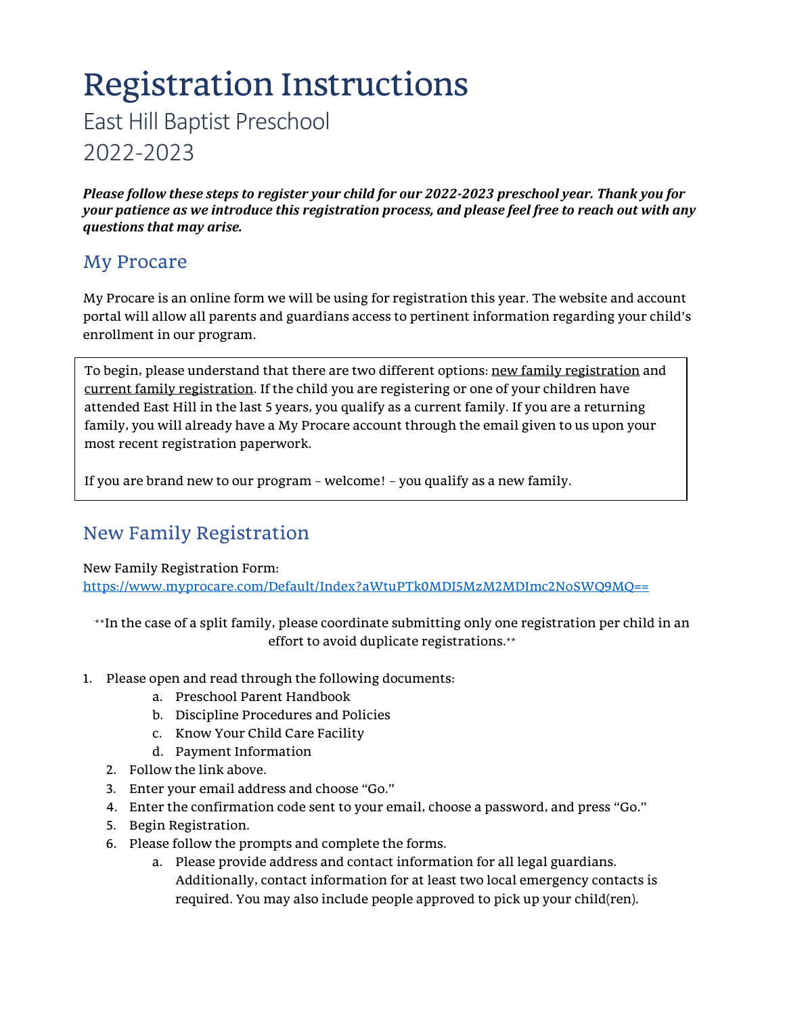# Registration Instructions

East Hill Baptist Preschool

2022-2023

*Please follow these steps to register your child for our 2022-2023 preschool year. Thank you for your patience as we introduce this registration process, and please feel free to reach out with any questions that may arise.*

### My Procare

My Procare is an online form we will be using for registration this year. The website and account portal will allow all parents and guardians access to pertinent information regarding your child's enrollment in our program.

To begin, please understand that there are two different options: new family registration and current family registration. If the child you are registering or one of your children have attended East Hill in the last 5 years, you qualify as a current family. If you are a returning family, you will already have a My Procare account through the email given to us upon your most recent registration paperwork.

If you are brand new to our program – welcome! – you qualify as a new family.

## New Family Registration

New Family Registration Form: <https://www.myprocare.com/Default/Index?aWtuPTk0MDI5MzM2MDImc2NoSWQ9MQ==>

\*\*In the case of a split family, please coordinate submitting only one registration per child in an effort to avoid duplicate registrations.\*\*

- 1. Please open and read through the following documents:
	- a. Preschool Parent Handbook
	- b. Discipline Procedures and Policies
	- c. Know Your Child Care Facility
	- d. Payment Information
	- 2. Follow the link above.
	- 3. Enter your email address and choose "Go."
	- 4. Enter the confirmation code sent to your email, choose a password, and press "Go."
	- 5. Begin Registration.
	- 6. Please follow the prompts and complete the forms.
		- a. Please provide address and contact information for all legal guardians. Additionally, contact information for at least two local emergency contacts is required. You may also include people approved to pick up your child(ren).